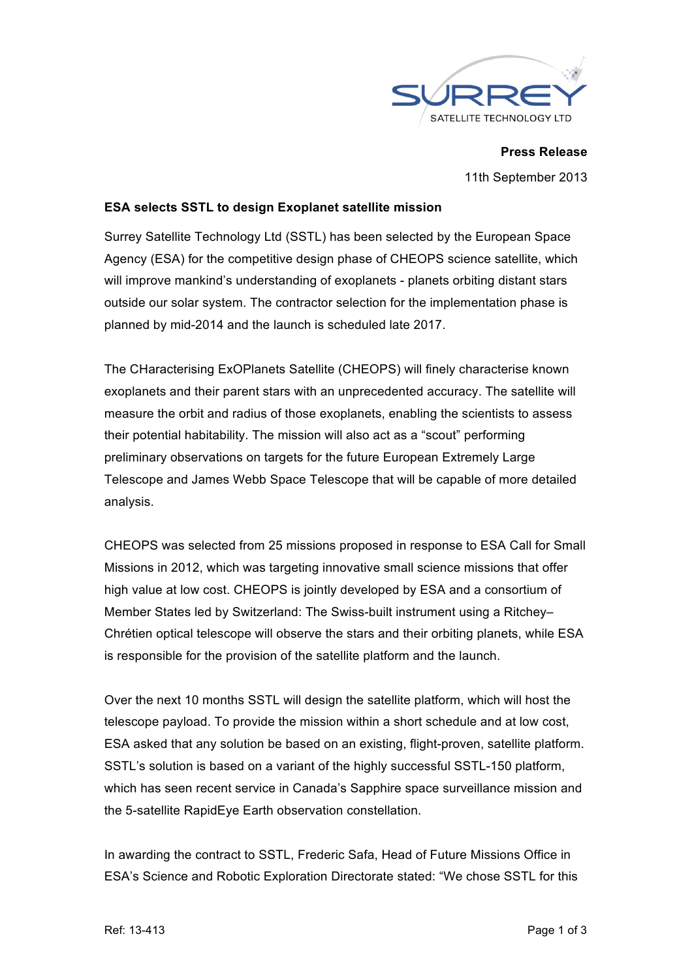

**Press Release** 11th September 2013

# **ESA selects SSTL to design Exoplanet satellite mission**

Surrey Satellite Technology Ltd (SSTL) has been selected by the European Space Agency (ESA) for the competitive design phase of CHEOPS science satellite, which will improve mankind's understanding of exoplanets - planets orbiting distant stars outside our solar system. The contractor selection for the implementation phase is planned by mid-2014 and the launch is scheduled late 2017.

The CHaracterising ExOPlanets Satellite (CHEOPS) will finely characterise known exoplanets and their parent stars with an unprecedented accuracy. The satellite will measure the orbit and radius of those exoplanets, enabling the scientists to assess their potential habitability. The mission will also act as a "scout" performing preliminary observations on targets for the future European Extremely Large Telescope and James Webb Space Telescope that will be capable of more detailed analysis.

CHEOPS was selected from 25 missions proposed in response to ESA Call for Small Missions in 2012, which was targeting innovative small science missions that offer high value at low cost. CHEOPS is jointly developed by ESA and a consortium of Member States led by Switzerland: The Swiss-built instrument using a Ritchey– Chrétien optical telescope will observe the stars and their orbiting planets, while ESA is responsible for the provision of the satellite platform and the launch.

Over the next 10 months SSTL will design the satellite platform, which will host the telescope payload. To provide the mission within a short schedule and at low cost, ESA asked that any solution be based on an existing, flight-proven, satellite platform. SSTL's solution is based on a variant of the highly successful SSTL-150 platform, which has seen recent service in Canada's Sapphire space surveillance mission and the 5-satellite RapidEye Earth observation constellation.

In awarding the contract to SSTL, Frederic Safa, Head of Future Missions Office in ESA's Science and Robotic Exploration Directorate stated: "We chose SSTL for this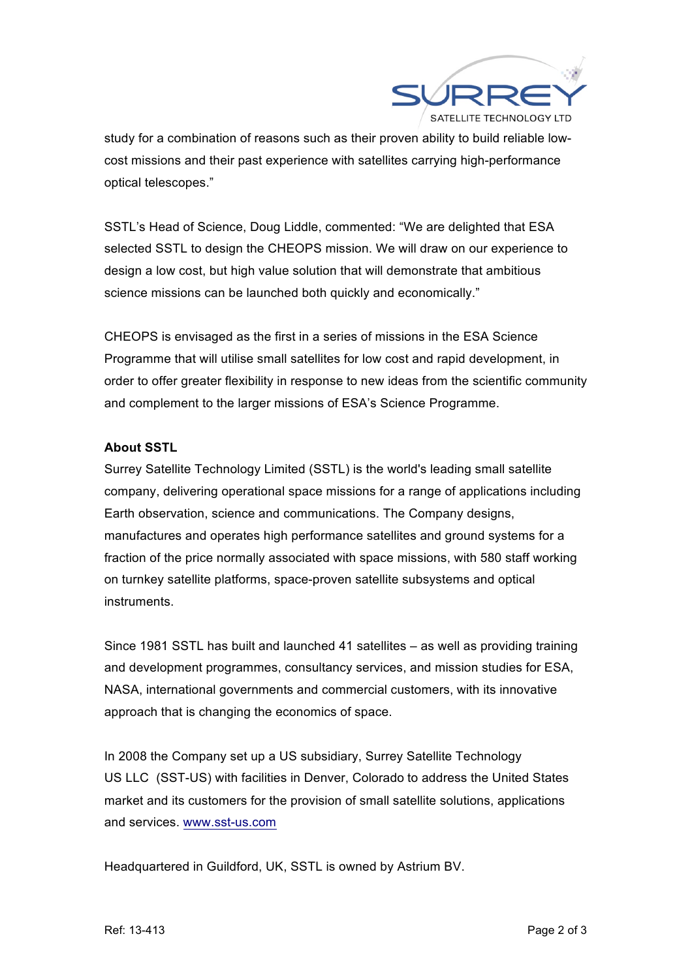

study for a combination of reasons such as their proven ability to build reliable lowcost missions and their past experience with satellites carrying high-performance optical telescopes."

SSTL's Head of Science, Doug Liddle, commented: "We are delighted that ESA selected SSTL to design the CHEOPS mission. We will draw on our experience to design a low cost, but high value solution that will demonstrate that ambitious science missions can be launched both quickly and economically."

CHEOPS is envisaged as the first in a series of missions in the ESA Science Programme that will utilise small satellites for low cost and rapid development, in order to offer greater flexibility in response to new ideas from the scientific community and complement to the larger missions of ESA's Science Programme.

# **About SSTL**

Surrey Satellite Technology Limited (SSTL) is the world's leading small satellite company, delivering operational space missions for a range of applications including Earth observation, science and communications. The Company designs, manufactures and operates high performance satellites and ground systems for a fraction of the price normally associated with space missions, with 580 staff working on turnkey satellite platforms, space-proven satellite subsystems and optical instruments.

Since 1981 SSTL has built and launched 41 satellites – as well as providing training and development programmes, consultancy services, and mission studies for ESA, NASA, international governments and commercial customers, with its innovative approach that is changing the economics of space.

In 2008 the Company set up a US subsidiary, Surrey Satellite Technology US LLC (SST-US) with facilities in Denver, Colorado to address the United States market and its customers for the provision of small satellite solutions, applications and services. www.sst-us.com

Headquartered in Guildford, UK, SSTL is owned by Astrium BV.